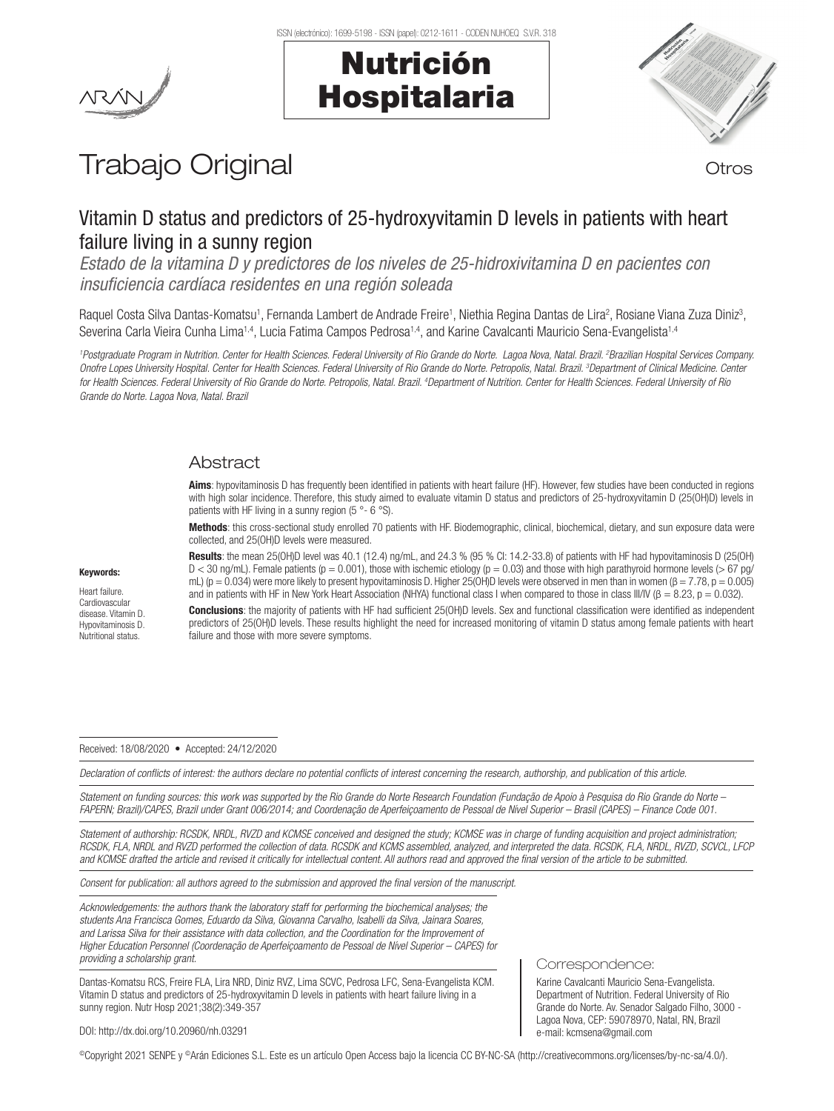# Nutrición Hospitalaria



# Trabajo Original **Trabajo Original**

# Vitamin D status and predictors of 25-hydroxyvitamin D levels in patients with heart failure living in a sunny region

*Estado de la vitamina D y predictores de los niveles de 25-hidroxivitamina D en pacientes con insuficiencia cardíaca residentes en una región soleada*

Raquel Costa Silva Dantas-Komatsu<sup>1</sup>, Fernanda Lambert de Andrade Freire<sup>1</sup>, Niethia Regina Dantas de Lira<sup>2</sup>, Rosiane Viana Zuza Diniz<sup>3</sup>, Severina Carla Vieira Cunha Lima<sup>1,4</sup>, Lucia Fatima Campos Pedrosa<sup>1,4</sup>, and Karine Cavalcanti Mauricio Sena-Evangelista<sup>1,4</sup>

*1 Postgraduate Program in Nutrition. Center for Health Sciences. Federal University of Rio Grande do Norte. Lagoa Nova, Natal. Brazil. 2 Brazilian Hospital Services Company.*  Onofre Lopes University Hospital. Center for Health Sciences. Federal University of Rio Grande do Norte. Petropolis, Natal. Brazil. <sup>3</sup>Department of Clinical Medicine. Center *for Health Sciences. Federal University of Rio Grande do Norte. Petropolis, Natal. Brazil. 4 Department of Nutrition. Center for Health Sciences. Federal University of Rio Grande do Norte. Lagoa Nova, Natal. Brazil*

# Abstract

Aims: hypovitaminosis D has frequently been identified in patients with heart failure (HF). However, few studies have been conducted in regions with high solar incidence. Therefore, this study aimed to evaluate vitamin D status and predictors of 25-hydroxyvitamin D (25(OH)D) levels in patients with HF living in a sunny region (5 °- 6 °S).

Methods: this cross-sectional study enrolled 70 patients with HF. Biodemographic, clinical, biochemical, dietary, and sun exposure data were collected, and 25(OH)D levels were measured.

Keywords: Heart failure. Cardiovascular disease. Vitamin D. Hypovitaminosis D.

Nutritional status.

Results: the mean 25(OH)D level was 40.1 (12.4) ng/mL, and 24.3 % (95 % CI: 14.2-33.8) of patients with HF had hypovitaminosis D (25(OH)  $D < 30$  ng/mL). Female patients ( $p = 0.001$ ), those with ischemic etiology ( $p = 0.03$ ) and those with high parathyroid hormone levels ( $> 67$  pg/ mL) ( $p = 0.034$ ) were more likely to present hypovitaminosis D. Higher 25(OH)D levels were observed in men than in women ( $\beta = 7.78$ ,  $p = 0.005$ ) and in patients with HF in New York Heart Association (NHYA) functional class I when compared to those in class III/IV ( $\beta = 8.23$ ,  $p = 0.032$ ).

Conclusions: the majority of patients with HF had sufficient 25(OH)D levels. Sex and functional classification were identified as independent predictors of 25(OH)D levels. These results highlight the need for increased monitoring of vitamin D status among female patients with heart failure and those with more severe symptoms.

Received: 18/08/2020 • Accepted: 24/12/2020

*Declaration of conflicts of interest: the authors declare no potential conflicts of interest concerning the research, authorship, and publication of this article.*

*Statement on funding sources: this work was supported by the Rio Grande do Norte Research Foundation (Fundação de Apoio à Pesquisa do Rio Grande do Norte – FAPERN; Brazil)/CAPES, Brazil under Grant 006/2014; and Coordenação de Aperfeiçoamento de Pessoal de Nível Superior – Brasil (CAPES) – Finance Code 001.*

*Statement of authorship: RCSDK, NRDL, RVZD and KCMSE conceived and designed the study; KCMSE was in charge of funding acquisition and project administration; RCSDK, FLA, NRDL and RVZD performed the collection of data. RCSDK and KCMS assembled, analyzed, and interpreted the data. RCSDK, FLA, NRDL, RVZD, SCVCL, LFCP and KCMSE drafted the article and revised it critically for intellectual content. All authors read and approved the final version of the article to be submitted.*

*Consent for publication: all authors agreed to the submission and approved the final version of the manuscript.*

*Acknowledgements: the authors thank the laboratory staff for performing the biochemical analyses; the students Ana Francisca Gomes, Eduardo da Silva, Giovanna Carvalho, Isabelli da Silva, Jainara Soares, and Larissa Silva for their assistance with data collection, and the Coordination for the Improvement of Higher Education Personnel (Coordenação de Aperfeiçoamento de Pessoal de Nível Superior – CAPES) for providing a scholarship grant.*

Dantas-Komatsu RCS, Freire FLA, Lira NRD, Diniz RVZ, Lima SCVC, Pedrosa LFC, Sena-Evangelista KCM. Vitamin D status and predictors of 25-hydroxyvitamin D levels in patients with heart failure living in a sunny region. Nutr Hosp 2021;38(2):349-357

Correspondence:

Karine Cavalcanti Mauricio Sena-Evangelista. Department of Nutrition. Federal University of Rio Grande do Norte. Av. Senador Salgado Filho, 3000 - Lagoa Nova, CEP: 59078970, Natal, RN, Brazil e-mail: kcmsena@gmail.com

DOI: http://dx.doi.org/10.20960/nh.03291

©Copyright 2021 SENPE y ©Arán Ediciones S.L. Este es un artículo Open Access bajo la licencia CC BY-NC-SA (http://creativecommons.org/licenses/by-nc-sa/4.0/).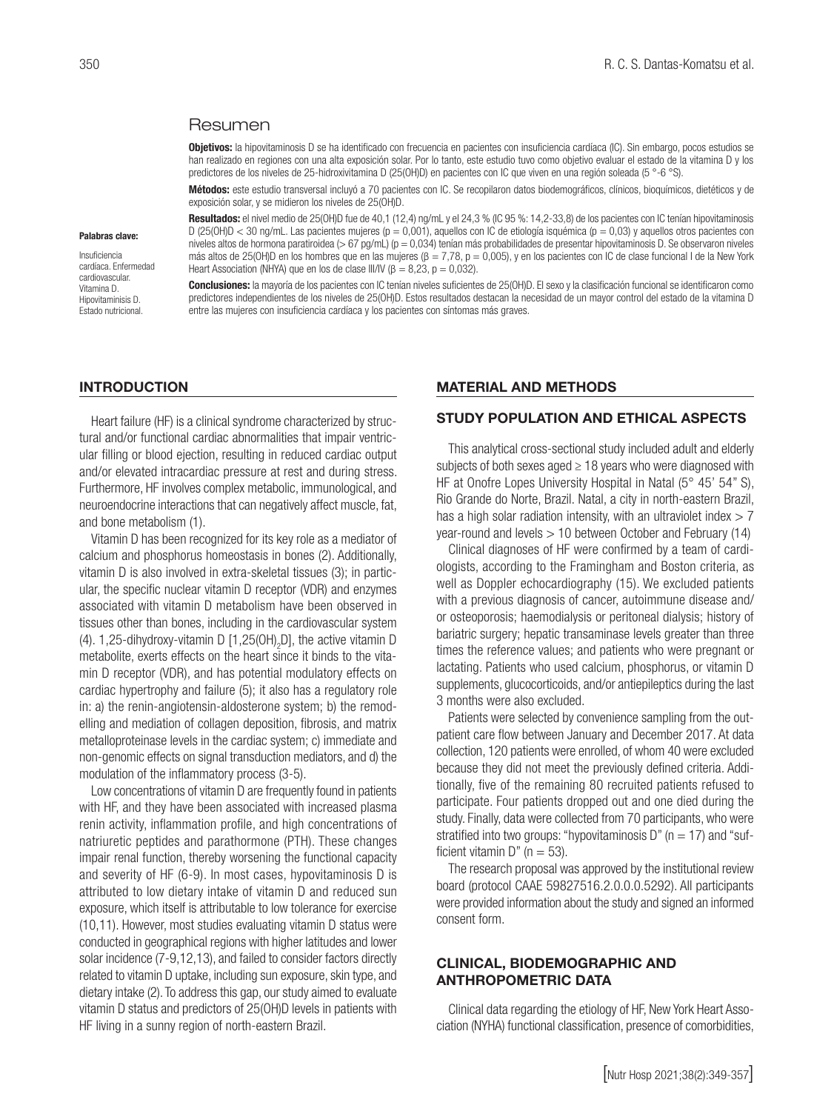#### Resumen

Objetivos: la hipovitaminosis D se ha identificado con frecuencia en pacientes con insuficiencia cardíaca (IC). Sin embargo, pocos estudios se han realizado en regiones con una alta exposición solar. Por lo tanto, este estudio tuvo como objetivo evaluar el estado de la vitamina D y los predictores de los niveles de 25-hidroxivitamina D (25(OH)D) en pacientes con IC que viven en una región soleada (5 °-6 °S).

Métodos: este estudio transversal incluyó a 70 pacientes con IC. Se recopilaron datos biodemográficos, clínicos, bioquímicos, dietéticos y de exposición solar, y se midieron los niveles de 25(OH)D.

Resultados: el nivel medio de 25(OH)D fue de 40,1 (12,4) ng/mL y el 24,3 % (IC 95 %: 14,2-33,8) de los pacientes con IC tenían hipovitaminosis D (25(OH)D < 30 ng/mL. Las pacientes mujeres (p = 0,001), aquellos con IC de etiología isquémica (p = 0,03) y aquellos otros pacientes con niveles altos de hormona paratiroidea (> 67 pg/mL) (p = 0,034) tenían más probabilidades de presentar hipovitaminosis D. Se observaron niveles más altos de 25(OH)D en los hombres que en las mujeres (β = 7,78, p = 0,005), y en los pacientes con IC de clase funcional I de la New York Heart Association (NHYA) que en los de clase III/IV ( $\beta = 8,23$ ,  $p = 0,032$ ).

Conclusiones: la mayoría de los pacientes con IC tenían niveles suficientes de 25(OH)D. El sexo y la clasificación funcional se identificaron como predictores independientes de los niveles de 25(OH)D. Estos resultados destacan la necesidad de un mayor control del estado de la vitamina D entre las mujeres con insuficiencia cardíaca y los pacientes con síntomas más graves.

#### INTRODUCTION

Heart failure (HF) is a clinical syndrome characterized by structural and/or functional cardiac abnormalities that impair ventricular filling or blood ejection, resulting in reduced cardiac output and/or elevated intracardiac pressure at rest and during stress. Furthermore, HF involves complex metabolic, immunological, and neuroendocrine interactions that can negatively affect muscle, fat, and bone metabolism (1).

Vitamin D has been recognized for its key role as a mediator of calcium and phosphorus homeostasis in bones (2). Additionally, vitamin D is also involved in extra-skeletal tissues (3); in particular, the specific nuclear vitamin D receptor (VDR) and enzymes associated with vitamin D metabolism have been observed in tissues other than bones, including in the cardiovascular system (4). 1,25-dihydroxy-vitamin D [1,25(OH)<sub>2</sub>D], the active vitamin D metabolite, exerts effects on the heart since it binds to the vitamin D receptor (VDR), and has potential modulatory effects on cardiac hypertrophy and failure (5); it also has a regulatory role in: a) the renin-angiotensin-aldosterone system; b) the remodelling and mediation of collagen deposition, fibrosis, and matrix metalloproteinase levels in the cardiac system; c) immediate and non-genomic effects on signal transduction mediators, and d) the modulation of the inflammatory process (3-5).

Low concentrations of vitamin D are frequently found in patients with HF, and they have been associated with increased plasma renin activity, inflammation profile, and high concentrations of natriuretic peptides and parathormone (PTH). These changes impair renal function, thereby worsening the functional capacity and severity of HF (6-9). In most cases, hypovitaminosis D is attributed to low dietary intake of vitamin D and reduced sun exposure, which itself is attributable to low tolerance for exercise (10,11). However, most studies evaluating vitamin D status were conducted in geographical regions with higher latitudes and lower solar incidence (7-9,12,13), and failed to consider factors directly related to vitamin D uptake, including sun exposure, skin type, and dietary intake (2).To address this gap, our study aimed to evaluate vitamin D status and predictors of 25(OH)D levels in patients with HF living in a sunny region of north-eastern Brazil.

#### MATERIAL AND METHODS

#### STUDY POPULATION AND ETHICAL ASPECTS

This analytical cross-sectional study included adult and elderly subjects of both sexes aged  $\geq$  18 years who were diagnosed with HF at Onofre Lopes University Hospital in Natal (5° 45' 54" S), Rio Grande do Norte, Brazil. Natal, a city in north-eastern Brazil, has a high solar radiation intensity, with an ultraviolet index  $> 7$ year-round and levels > 10 between October and February (14)

Clinical diagnoses of HF were confirmed by a team of cardiologists, according to the Framingham and Boston criteria, as well as Doppler echocardiography (15). We excluded patients with a previous diagnosis of cancer, autoimmune disease and/ or osteoporosis; haemodialysis or peritoneal dialysis; history of bariatric surgery; hepatic transaminase levels greater than three times the reference values; and patients who were pregnant or lactating. Patients who used calcium, phosphorus, or vitamin D supplements, glucocorticoids, and/or antiepileptics during the last 3 months were also excluded.

Patients were selected by convenience sampling from the outpatient care flow between January and December 2017. At data collection, 120 patients were enrolled, of whom 40 were excluded because they did not meet the previously defined criteria. Additionally, five of the remaining 80 recruited patients refused to participate. Four patients dropped out and one died during the study. Finally, data were collected from 70 participants, who were stratified into two groups: "hypovitaminosis  $D$ " (n = 17) and "sufficient vitamin D" ( $n = 53$ ).

The research proposal was approved by the institutional review board (protocol CAAE 59827516.2.0.0.0.5292). All participants were provided information about the study and signed an informed consent form.

## CLINICAL, BIODEMOGRAPHIC AND ANTHROPOMETRIC DATA

Clinical data regarding the etiology of HF, New York Heart Association (NYHA) functional classification, presence of comorbidities,

Palabras clave: Insuficiencia cardíaca. Enfermedad cardiovascular. Vitamina D. Hipovitaminisis D. Estado nutricional.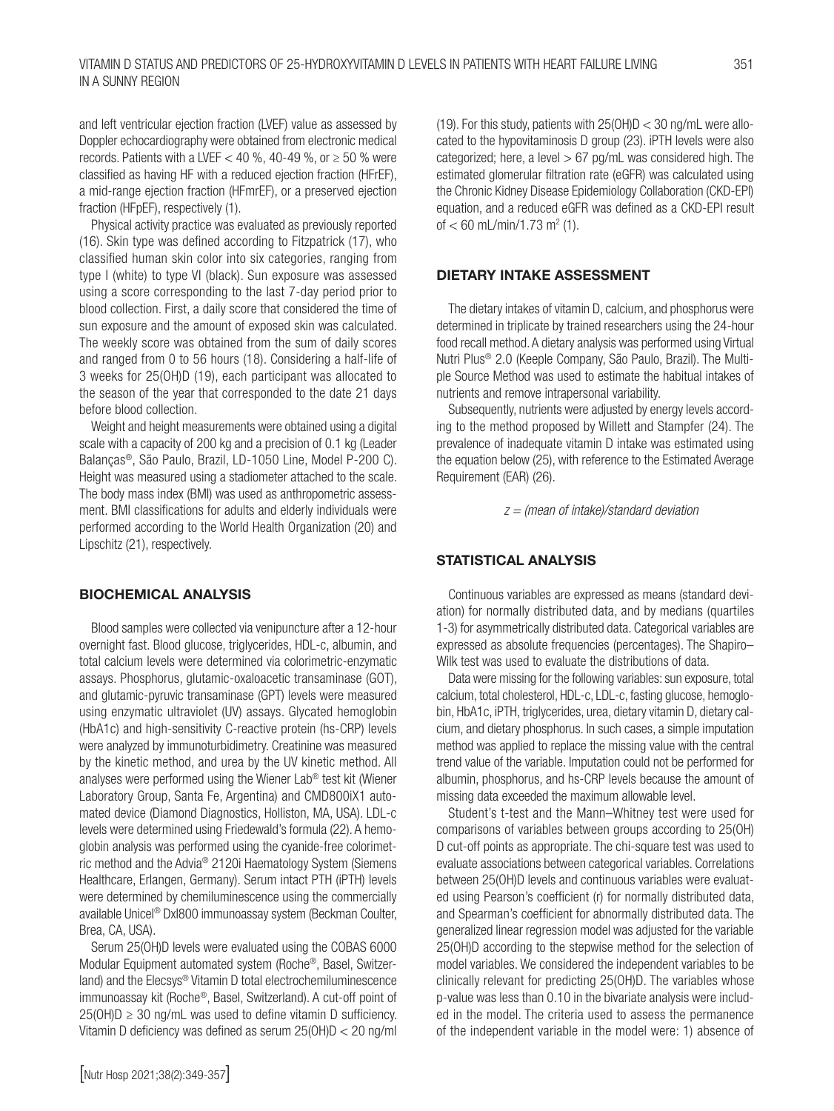and left ventricular ejection fraction (LVEF) value as assessed by Doppler echocardiography were obtained from electronic medical records. Patients with a LVEF  $<$  40 %, 40-49 %, or  $\geq$  50 % were classified as having HF with a reduced ejection fraction (HFrEF), a mid-range ejection fraction (HFmrEF), or a preserved ejection fraction (HFpEF), respectively (1).

Physical activity practice was evaluated as previously reported (16). Skin type was defined according to Fitzpatrick (17), who classified human skin color into six categories, ranging from type I (white) to type VI (black). Sun exposure was assessed using a score corresponding to the last 7-day period prior to blood collection. First, a daily score that considered the time of sun exposure and the amount of exposed skin was calculated. The weekly score was obtained from the sum of daily scores and ranged from 0 to 56 hours (18). Considering a half-life of 3 weeks for 25(OH)D (19), each participant was allocated to the season of the year that corresponded to the date 21 days before blood collection.

Weight and height measurements were obtained using a digital scale with a capacity of 200 kg and a precision of 0.1 kg (Leader Balanças®, São Paulo, Brazil, LD-1050 Line, Model P-200 C). Height was measured using a stadiometer attached to the scale. The body mass index (BMI) was used as anthropometric assessment. BMI classifications for adults and elderly individuals were performed according to the World Health Organization (20) and Lipschitz (21), respectively.

#### BIOCHEMICAL ANALYSIS

Blood samples were collected via venipuncture after a 12-hour overnight fast. Blood glucose, triglycerides, HDL-c, albumin, and total calcium levels were determined via colorimetric-enzymatic assays. Phosphorus, glutamic-oxaloacetic transaminase (GOT), and glutamic-pyruvic transaminase (GPT) levels were measured using enzymatic ultraviolet (UV) assays. Glycated hemoglobin (HbA1c) and high-sensitivity C-reactive protein (hs-CRP) levels were analyzed by immunoturbidimetry. Creatinine was measured by the kinetic method, and urea by the UV kinetic method. All analyses were performed using the Wiener Lab® test kit (Wiener Laboratory Group, Santa Fe, Argentina) and CMD800iX1 automated device (Diamond Diagnostics, Holliston, MA, USA). LDL-c levels were determined using Friedewald's formula (22). A hemoglobin analysis was performed using the cyanide-free colorimetric method and the Advia® 2120i Haematology System (Siemens Healthcare, Erlangen, Germany). Serum intact PTH (iPTH) levels were determined by chemiluminescence using the commercially available Unicel® DxI800 immunoassay system (Beckman Coulter, Brea, CA, USA).

Serum 25(OH)D levels were evaluated using the COBAS 6000 Modular Equipment automated system (Roche®, Basel, Switzerland) and the Elecsys® Vitamin D total electrochemiluminescence immunoassay kit (Roche®, Basel, Switzerland). A cut-off point of  $25(OH)D \ge 30$  ng/mL was used to define vitamin D sufficiency. Vitamin D deficiency was defined as serum 25(OH)D < 20 ng/ml (19). For this study, patients with  $25(OH)D < 30$  ng/mL were allocated to the hypovitaminosis D group (23). iPTH levels were also categorized; here, a level  $> 67$  pg/mL was considered high. The estimated glomerular filtration rate (eGFR) was calculated using the Chronic Kidney Disease Epidemiology Collaboration (CKD-EPI) equation, and a reduced eGFR was defined as a CKD-EPI result of  $< 60$  mL/min/1.73 m<sup>2</sup> (1).

## DIETARY INTAKE ASSESSMENT

The dietary intakes of vitamin D, calcium, and phosphorus were determined in triplicate by trained researchers using the 24-hour food recall method. A dietary analysis was performed using Virtual Nutri Plus® 2.0 (Keeple Company, São Paulo, Brazil). The Multiple Source Method was used to estimate the habitual intakes of nutrients and remove intrapersonal variability.

Subsequently, nutrients were adjusted by energy levels according to the method proposed by Willett and Stampfer (24). The prevalence of inadequate vitamin D intake was estimated using the equation below (25), with reference to the Estimated Average Requirement (EAR) (26).

*z = (mean of intake)/standard deviation*

#### STATISTICAL ANALYSIS

Continuous variables are expressed as means (standard deviation) for normally distributed data, and by medians (quartiles 1-3) for asymmetrically distributed data. Categorical variables are expressed as absolute frequencies (percentages). The Shapiro– Wilk test was used to evaluate the distributions of data.

Data were missing for the following variables: sun exposure, total calcium, total cholesterol, HDL-c, LDL-c, fasting glucose, hemoglobin, HbA1c, iPTH, triglycerides, urea, dietary vitamin D, dietary calcium, and dietary phosphorus. In such cases, a simple imputation method was applied to replace the missing value with the central trend value of the variable. Imputation could not be performed for albumin, phosphorus, and hs-CRP levels because the amount of missing data exceeded the maximum allowable level.

Student's t-test and the Mann–Whitney test were used for comparisons of variables between groups according to 25(OH) D cut-off points as appropriate. The chi-square test was used to evaluate associations between categorical variables. Correlations between 25(OH)D levels and continuous variables were evaluated using Pearson's coefficient (r) for normally distributed data, and Spearman's coefficient for abnormally distributed data. The generalized linear regression model was adjusted for the variable 25(OH)D according to the stepwise method for the selection of model variables. We considered the independent variables to be clinically relevant for predicting 25(OH)D. The variables whose p-value was less than 0.10 in the bivariate analysis were included in the model. The criteria used to assess the permanence of the independent variable in the model were: 1) absence of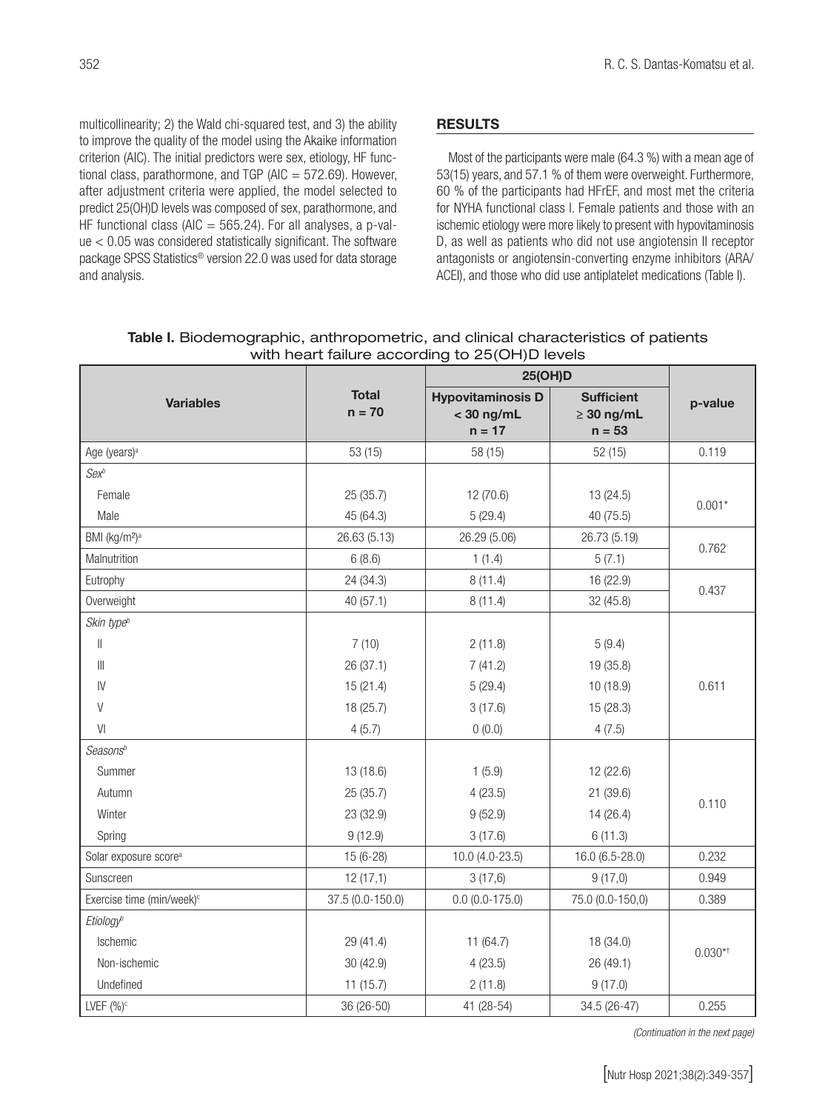multicollinearity; 2) the Wald chi-squared test, and 3) the ability to improve the quality of the model using the Akaike information criterion (AIC). The initial predictors were sex, etiology, HF functional class, parathormone, and TGP (AIC  $=$  572.69). However, after adjustment criteria were applied, the model selected to predict 25(OH)D levels was composed of sex, parathormone, and HF functional class (AIC  $=$  565.24). For all analyses, a p-value < 0.05 was considered statistically significant. The software package SPSS Statistics® version 22.0 was used for data storage and analysis.

# RESULTS

Most of the participants were male (64.3 %) with a mean age of 53(15) years, and 57.1 % of them were overweight. Furthermore, 60 % of the participants had HFrEF, and most met the criteria for NYHA functional class I. Female patients and those with an ischemic etiology were more likely to present with hypovitaminosis D, as well as patients who did not use angiotensin II receptor antagonists or angiotensin-converting enzyme inhibitors (ARA/ ACEI), and those who did use antiplatelet medications (Table I).

|                                       |                          | 25(OH)D                                              |                                                  |           |
|---------------------------------------|--------------------------|------------------------------------------------------|--------------------------------------------------|-----------|
| <b>Variables</b>                      | <b>Total</b><br>$n = 70$ | <b>Hypovitaminosis D</b><br>$<$ 30 ng/mL<br>$n = 17$ | <b>Sufficient</b><br>$\geq 30$ ng/mL<br>$n = 53$ | p-value   |
| Age (years) <sup>a</sup>              | 53 (15)                  | 58 (15)                                              | 52(15)                                           | 0.119     |
| $Sex^b$                               |                          |                                                      |                                                  |           |
| Female                                | 25(35.7)                 | 12 (70.6)                                            | 13 (24.5)                                        |           |
| Male                                  | 45 (64.3)                | 5(29.4)                                              | 40 (75.5)                                        | $0.001*$  |
| BMI (kg/m <sup>2</sup> ) <sup>a</sup> | 26.63 (5.13)             | 26.29 (5.06)                                         | 26.73 (5.19)                                     | 0.762     |
| Malnutrition                          | 6(8.6)                   | 1(1.4)                                               | 5(7.1)                                           |           |
| Eutrophy                              | 24 (34.3)                | 8(11.4)                                              | 16 (22.9)                                        | 0.437     |
| Overweight                            | 40(57.1)                 | 8(11.4)                                              | 32 (45.8)                                        |           |
| Skin type <sup>b</sup>                |                          |                                                      |                                                  |           |
| $\vert\vert$                          | 7(10)                    | 2(11.8)                                              | 5(9.4)                                           |           |
| $\left\  {}\right\ $                  | 26 (37.1)                | 7(41.2)                                              | 19 (35.8)                                        |           |
| IV                                    | 15(21.4)                 | 5(29.4)                                              | 10 (18.9)                                        | 0.611     |
| $\vee$                                | 18 (25.7)                | 3(17.6)                                              | 15 (28.3)                                        |           |
| VI                                    | 4(5.7)                   | 0(0.0)                                               | 4(7.5)                                           |           |
| Seasons <sup>b</sup>                  |                          |                                                      |                                                  |           |
| Summer                                | 13(18.6)                 | 1(5.9)                                               | 12 (22.6)                                        |           |
| Autumn                                | 25 (35.7)                | 4(23.5)                                              | 21 (39.6)                                        | 0.110     |
| Winter                                | 23 (32.9)                | 9(52.9)                                              | 14 (26.4)                                        |           |
| Spring                                | 9(12.9)                  | 3(17.6)                                              | 6(11.3)                                          |           |
| Solar exposure score <sup>a</sup>     | 15 (6-28)                | 10.0 (4.0-23.5)                                      | 16.0 (6.5-28.0)                                  | 0.232     |
| Sunscreen                             | 12(17,1)                 | 3(17,6)                                              | 9(17,0)                                          | 0.949     |
| Exercise time (min/week) <sup>c</sup> | 37.5 (0.0-150.0)         | $0.0 (0.0 - 175.0)$                                  | 75.0 (0.0-150,0)                                 | 0.389     |
| Etiology <sup>b</sup>                 |                          |                                                      |                                                  |           |
| Ischemic                              | 29 (41.4)                | 11 (64.7)                                            | 18 (34.0)                                        | $0.030**$ |
| Non-ischemic                          | 30 (42.9)                | 4(23.5)                                              | 26 (49.1)                                        |           |
| Undefined                             | 11(15.7)                 | 2(11.8)                                              | 9(17.0)                                          |           |
| LVEF $(%)^c$                          | 36 (26-50)               | 41 (28-54)                                           | 34.5 (26-47)                                     | 0.255     |

Table I. Biodemographic, anthropometric, and clinical characteristics of patients with heart failure according to 25(OH)D levels

*(Continuation in the next page)*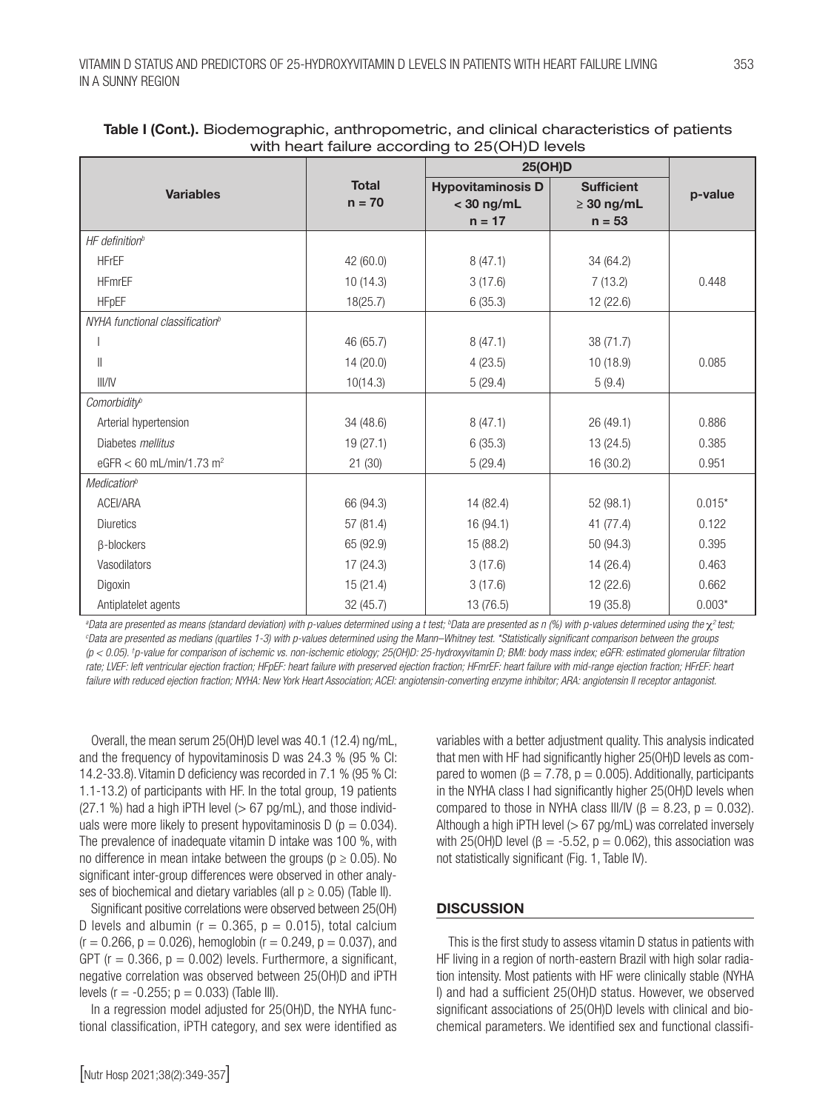| $\frac{1}{2}$<br><b>25(OH)D</b>             |                          |                                                      |                                                  |          |
|---------------------------------------------|--------------------------|------------------------------------------------------|--------------------------------------------------|----------|
| <b>Variables</b>                            | <b>Total</b><br>$n = 70$ | <b>Hypovitaminosis D</b><br>$<$ 30 ng/mL<br>$n = 17$ | <b>Sufficient</b><br>$\geq 30$ ng/mL<br>$n = 53$ | p-value  |
| $HF$ definition <sup>b</sup>                |                          |                                                      |                                                  |          |
| <b>HFrEF</b>                                | 42 (60.0)                | 8(47.1)                                              | 34 (64.2)                                        |          |
| <b>HFmrEF</b>                               | 10(14.3)                 | 3(17.6)                                              | 7(13.2)                                          | 0.448    |
| <b>HFpEF</b>                                | 18(25.7)                 | 6(35.3)                                              | 12 (22.6)                                        |          |
| NYHA functional classification <sup>b</sup> |                          |                                                      |                                                  |          |
|                                             | 46 (65.7)                | 8(47.1)                                              | 38 (71.7)                                        |          |
| $\parallel$                                 | 14(20.0)                 | 4(23.5)                                              | 10(18.9)                                         | 0.085    |
| III/IV                                      | 10(14.3)                 | 5(29.4)                                              | 5(9.4)                                           |          |
| Comorbidity <sup>b</sup>                    |                          |                                                      |                                                  |          |
| Arterial hypertension                       | 34 (48.6)                | 8(47.1)                                              | 26 (49.1)                                        | 0.886    |
| Diabetes <i>mellitus</i>                    | 19(27.1)                 | 6(35.3)                                              | 13(24.5)                                         | 0.385    |
| eGFR < 60 mL/min/1.73 m <sup>2</sup>        | 21(30)                   | 5(29.4)                                              | 16 (30.2)                                        | 0.951    |
| <b>Medication</b> <sup>b</sup>              |                          |                                                      |                                                  |          |
| <b>ACEI/ARA</b>                             | 66 (94.3)                | 14 (82.4)                                            | 52(98.1)                                         | $0.015*$ |
| <b>Diuretics</b>                            | 57 (81.4)                | 16 (94.1)                                            | 41(77.4)                                         | 0.122    |
| β-blockers                                  | 65 (92.9)                | 15 (88.2)                                            | 50 (94.3)                                        | 0.395    |
| Vasodilators                                | 17(24.3)                 | 3(17.6)                                              | 14 (26.4)                                        | 0.463    |
| Digoxin                                     | 15(21.4)                 | 3(17.6)                                              | 12 (22.6)                                        | 0.662    |
| Antiplatelet agents                         | 32 (45.7)                | 13 (76.5)                                            | 19 (35.8)                                        | $0.003*$ |

## Table I (Cont.). Biodemographic, anthropometric, and clinical characteristics of patients with heart failure according to 25(OH)D levels

<sup>a</sup>Data are presented as means (standard deviation) with p-values determined using a t test; <sup>b</sup>Data are presented as n (%) with p-values determined using the  $\chi^2$  test;<br>Data are presented as medians (quartiles 1-3) with *Data are presented as medians (quartiles 1-3) with p-values determined using the Mann–Whitney test. \*Statistically significant comparison between the groups (p < 0.05). † p-value for comparison of ischemic vs. non-ischemic etiology; 25(OH)D: 25-hydroxyvitamin D; BMI: body mass index; eGFR: estimated glomerular filtration*  rate; LVEF: left ventricular ejection fraction; HFpEF: heart failure with preserved ejection fraction; HFmrEF: heart failure with mid-range ejection fraction; HFrEF: heart failure with reduced ejection fraction; NYHA: New York Heart Association; ACEI: angiotensin-converting enzyme inhibitor; ARA: angiotensin II receptor antagonist.

Overall, the mean serum 25(OH)D level was 40.1 (12.4) ng/mL, and the frequency of hypovitaminosis D was 24.3 % (95 % CI: 14.2-33.8). Vitamin D deficiency was recorded in 7.1 % (95 % CI: 1.1-13.2) of participants with HF. In the total group, 19 patients  $(27.1 \%)$  had a high iPTH level  $(> 67 \text{ pg/mL})$ , and those individuals were more likely to present hypovitaminosis  $D$  ( $p = 0.034$ ). The prevalence of inadequate vitamin D intake was 100 %, with no difference in mean intake between the groups ( $p \ge 0.05$ ). No significant inter-group differences were observed in other analyses of biochemical and dietary variables (all  $p \ge 0.05$ ) (Table II).

Significant positive correlations were observed between 25(OH) D levels and albumin ( $r = 0.365$ ,  $p = 0.015$ ), total calcium  $(r = 0.266, p = 0.026)$ , hemoglobin  $(r = 0.249, p = 0.037)$ , and GPT ( $r = 0.366$ ,  $p = 0.002$ ) levels. Furthermore, a significant, negative correlation was observed between 25(OH)D and iPTH levels ( $r = -0.255$ ;  $p = 0.033$ ) (Table III).

In a regression model adjusted for 25(OH)D, the NYHA functional classification, iPTH category, and sex were identified as variables with a better adjustment quality. This analysis indicated that men with HF had significantly higher 25(OH)D levels as compared to women ( $\beta = 7.78$ ,  $p = 0.005$ ). Additionally, participants in the NYHA class I had significantly higher 25(OH)D levels when compared to those in NYHA class III/IV ( $\beta = 8.23$ ,  $p = 0.032$ ). Although a high iPTH level  $(> 67 \text{ pg/mL})$  was correlated inversely with 25(OH)D level ( $β = -5.52$ ,  $p = 0.062$ ), this association was not statistically significant (Fig. 1, Table IV).

# **DISCUSSION**

This is the first study to assess vitamin D status in patients with HF living in a region of north-eastern Brazil with high solar radiation intensity. Most patients with HF were clinically stable (NYHA I) and had a sufficient 25(OH)D status. However, we observed significant associations of 25(OH)D levels with clinical and biochemical parameters. We identified sex and functional classifi-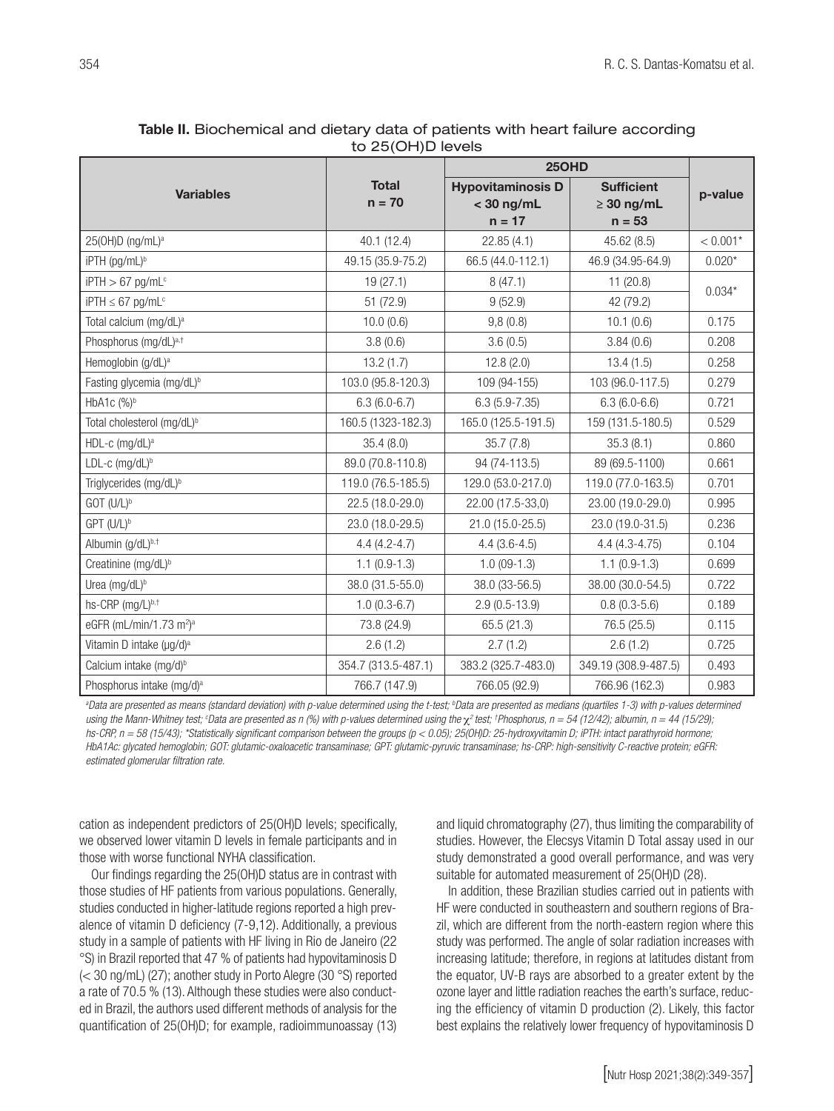|                                                 |                          | <b>250HD</b>                                         |                                                  |            |  |
|-------------------------------------------------|--------------------------|------------------------------------------------------|--------------------------------------------------|------------|--|
| <b>Variables</b>                                | <b>Total</b><br>$n = 70$ | <b>Hypovitaminosis D</b><br>$<$ 30 ng/mL<br>$n = 17$ | <b>Sufficient</b><br>$\geq 30$ ng/mL<br>$n = 53$ | p-value    |  |
| $25(OH)D$ (ng/mL) <sup>a</sup>                  | 40.1 (12.4)              | 22.85 (4.1)                                          | 45.62 (8.5)                                      | $< 0.001*$ |  |
| iPTH (pg/mL) <sup>b</sup>                       | 49.15 (35.9-75.2)        | 66.5 (44.0-112.1)                                    | 46.9 (34.95-64.9)                                | $0.020*$   |  |
| $i$ PTH $> 67$ pg/mL <sup>c</sup>               | 19(27.1)                 | 8(47.1)                                              | 11(20.8)                                         |            |  |
| $i$ PTH $\leq 67$ pg/mL <sup>c</sup>            | 51 (72.9)                | 9(52.9)                                              | 42 (79.2)                                        | $0.034*$   |  |
| Total calcium (mg/dL) <sup>a</sup>              | 10.0(0.6)                | 9,8(0.8)                                             | 10.1(0.6)                                        | 0.175      |  |
| Phosphorus (mg/dL) <sup>a,†</sup>               | 3.8(0.6)                 | 3.6(0.5)                                             | 3.84(0.6)                                        | 0.208      |  |
| Hemoglobin (g/dL) <sup>a</sup>                  | 13.2(1.7)                | 12.8(2.0)                                            | 13.4(1.5)                                        | 0.258      |  |
| Fasting glycemia (mg/dL) <sup>b</sup>           | 103.0 (95.8-120.3)       | 109 (94-155)                                         | 103 (96.0-117.5)                                 | 0.279      |  |
| HbA1c (%)b                                      | $6.3(6.0-6.7)$           | $6.3(5.9 - 7.35)$                                    | $6.3(6.0-6.6)$                                   | 0.721      |  |
| Total cholesterol (mg/dL) <sup>b</sup>          | 160.5 (1323-182.3)       | 165.0 (125.5-191.5)                                  | 159 (131.5-180.5)                                | 0.529      |  |
| HDL-c (mg/dL) <sup>a</sup>                      | 35.4(8.0)                | 35.7(7.8)                                            | 35.3(8.1)                                        | 0.860      |  |
| LDL-c $(mg/dL)^b$                               | 89.0 (70.8-110.8)        | 94 (74-113.5)                                        | 89 (69.5-1100)                                   | 0.661      |  |
| Triglycerides (mg/dL) <sup>b</sup>              | 119.0 (76.5-185.5)       | 129.0 (53.0-217.0)                                   | 119.0 (77.0-163.5)                               | 0.701      |  |
| GOT (U/L) <sup>b</sup>                          | 22.5 (18.0-29.0)         | 22.00 (17.5-33,0)                                    | 23.00 (19.0-29.0)                                | 0.995      |  |
| GPT (U/L) <sup>b</sup>                          | 23.0 (18.0-29.5)         | 21.0 (15.0-25.5)                                     | 23.0 (19.0-31.5)                                 | 0.236      |  |
| Albumin (g/dL)b,t                               | $4.4(4.2 - 4.7)$         | $4.4(3.6-4.5)$                                       | $4.4(4.3-4.75)$                                  | 0.104      |  |
| Creatinine (mg/dL) <sup>b</sup>                 | $1.1(0.9-1.3)$           | $1.0(09-1.3)$                                        | $1.1(0.9-1.3)$                                   | 0.699      |  |
| Urea (mg/dL) <sup>b</sup>                       | 38.0 (31.5-55.0)         | 38.0 (33-56.5)                                       | 38.00 (30.0-54.5)                                | 0.722      |  |
| hs-CRP (mg/L)b,t                                | $1.0(0.3-6.7)$           | $2.9(0.5-13.9)$                                      | $0.8(0.3-5.6)$                                   | 0.189      |  |
| eGFR (mL/min/1.73 m <sup>2</sup> ) <sup>a</sup> | 73.8 (24.9)              | 65.5 (21.3)                                          | 76.5 (25.5)                                      | 0.115      |  |
| Vitamin D intake (µg/d) <sup>a</sup>            | 2.6(1.2)                 | 2.7(1.2)                                             | 2.6(1.2)                                         | 0.725      |  |
| Calcium intake (mg/d) <sup>b</sup>              | 354.7 (313.5-487.1)      | 383.2 (325.7-483.0)                                  | 349.19 (308.9-487.5)                             | 0.493      |  |
| Phosphorus intake (mg/d) <sup>a</sup>           | 766.7 (147.9)            | 766.05 (92.9)                                        | 766.96 (162.3)                                   | 0.983      |  |

# Table II. Biochemical and dietary data of patients with heart failure according to 25(OH)D levels

<sup>a</sup>Data are presented as means (standard deviation) with p-value determined using the t-test; <sup>b</sup>Data are presented as medians (quartiles 1-3) with p-values determined using the Mann-Whitney test; °Data are presented as n (%) with p-values determined using the  $\chi^2$  test; †Phosphorus, n = 54 (12/42); albumin, n = 44 (15/29); *hs-CRP, n = 58 (15/43); \*Statistically significant comparison between the groups (p < 0.05); 25(OH)D: 25-hydroxyvitamin D; iPTH: intact parathyroid hormone; HbA1Ac: glycated hemoglobin; GOT: glutamic-oxaloacetic transaminase; GPT: glutamic-pyruvic transaminase; hs-CRP: high-sensitivity C-reactive protein; eGFR: estimated glomerular filtration rate.*

cation as independent predictors of 25(OH)D levels; specifically, we observed lower vitamin D levels in female participants and in those with worse functional NYHA classification.

Our findings regarding the 25(OH)D status are in contrast with those studies of HF patients from various populations. Generally, studies conducted in higher-latitude regions reported a high prevalence of vitamin D deficiency (7-9,12). Additionally, a previous study in a sample of patients with HF living in Rio de Janeiro (22 °S) in Brazil reported that 47 % of patients had hypovitaminosis D (< 30 ng/mL) (27); another study in Porto Alegre (30 °S) reported a rate of 70.5 % (13). Although these studies were also conducted in Brazil, the authors used different methods of analysis for the quantification of 25(OH)D; for example, radioimmunoassay (13) and liquid chromatography (27), thus limiting the comparability of studies. However, the Elecsys Vitamin D Total assay used in our study demonstrated a good overall performance, and was very suitable for automated measurement of 25(OH)D (28).

In addition, these Brazilian studies carried out in patients with HF were conducted in southeastern and southern regions of Brazil, which are different from the north-eastern region where this study was performed. The angle of solar radiation increases with increasing latitude; therefore, in regions at latitudes distant from the equator, UV-B rays are absorbed to a greater extent by the ozone layer and little radiation reaches the earth's surface, reducing the efficiency of vitamin D production (2). Likely, this factor best explains the relatively lower frequency of hypovitaminosis D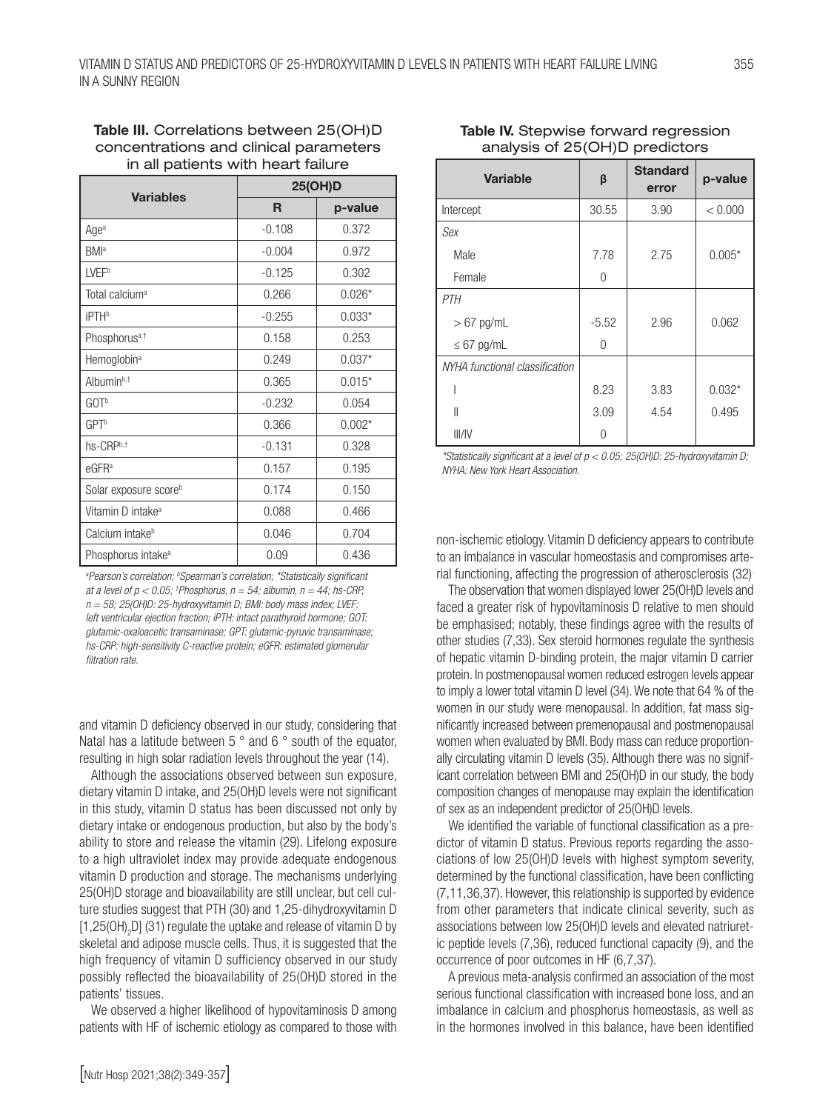| <b>Variables</b>                  | <b>25(OH)D</b> |          |  |
|-----------------------------------|----------------|----------|--|
|                                   | R              | p-value  |  |
| Age <sup>a</sup>                  | $-0.108$       | 0.372    |  |
| <b>BMI</b> <sup>a</sup>           | $-0.004$       | 0.972    |  |
| <b>LVEFb</b>                      | $-0.125$       | 0.302    |  |
| Total calcium <sup>a</sup>        | 0.266          | $0.026*$ |  |
| <b>iPTH</b> <sup>b</sup>          | $-0.255$       | $0.033*$ |  |
| Phosphorus <sup>a,†</sup>         | 0.158          | 0.253    |  |
| Hemoglobin <sup>a</sup>           | 0.249          | $0.037*$ |  |
| Albumin <sup>b,†</sup>            | 0.365          | $0.015*$ |  |
| GOT <sup>b</sup>                  | $-0.232$       | 0.054    |  |
| <b>GPT</b> <sup>b</sup>           | 0.366          | $0.002*$ |  |
| hs-CRPb,t                         | $-0.131$       | 0.328    |  |
| $e$ GFR <sup>a</sup>              | 0.157          | 0.195    |  |
| Solar exposure score <sup>b</sup> | 0.174          | 0.150    |  |
| Vitamin D intake <sup>a</sup>     | 0.088          | 0.466    |  |
| Calcium intake <sup>b</sup>       | 0.046          | 0.704    |  |
| Phosphorus intake <sup>a</sup>    | 0.09           | 0.436    |  |

## Table III. Correlations between 25(OH)D concentrations and clinical parameters in all patients with heart failure

<sup>a</sup>Pearson's correlation; <sup>b</sup>Spearman's correlation; \*Statistically significant *at a level of p < 0.05; † Phosphorus, n = 54; albumin, n = 44; hs-CRP, n = 58; 25(OH)D: 25-hydroxyvitamin D; BMI: body mass index; LVEF: left ventricular ejection fraction; iPTH: intact parathyroid hormone; GOT: glutamic-oxaloacetic transaminase; GPT: glutamic-pyruvic transaminase; hs-CRP: high-sensitivity C-reactive protein; eGFR: estimated glomerular filtration rate.*

and vitamin D deficiency observed in our study, considering that Natal has a latitude between 5 ° and 6 ° south of the equator, resulting in high solar radiation levels throughout the year (14).

Although the associations observed between sun exposure, dietary vitamin D intake, and 25(OH)D levels were not significant in this study, vitamin D status has been discussed not only by dietary intake or endogenous production, but also by the body's ability to store and release the vitamin (29). Lifelong exposure to a high ultraviolet index may provide adequate endogenous vitamin D production and storage. The mechanisms underlying 25(OH)D storage and bioavailability are still unclear, but cell culture studies suggest that PTH (30) and 1,25-dihydroxyvitamin D [1,25(OH)<sub>2</sub>D] (31) regulate the uptake and release of vitamin D by skeletal and adipose muscle cells. Thus, it is suggested that the high frequency of vitamin D sufficiency observed in our study possibly reflected the bioavailability of 25(OH)D stored in the patients' tissues.

We observed a higher likelihood of hypovitaminosis D among patients with HF of ischemic etiology as compared to those with

# Table IV. Stepwise forward regression analysis of 25(OH)D predictors

| <b>Variable</b>                | β       | <b>Standard</b><br>error | p-value  |
|--------------------------------|---------|--------------------------|----------|
| Intercept                      | 30.55   | 3.90                     | < 0.000  |
| Sex                            |         |                          |          |
| Male                           | 7.78    | 2.75                     | $0.005*$ |
| Female                         | 0       |                          |          |
| <b>PTH</b>                     |         |                          |          |
| $> 67$ pg/mL                   | $-5.52$ | 2.96                     | 0.062    |
| $\leq 67$ pg/mL                | 0       |                          |          |
| NYHA functional classification |         |                          |          |
|                                | 8.23    | 3.83                     | $0.032*$ |
| II                             | 3.09    | 4.54                     | 0.495    |
| III/IV                         | Ω       |                          |          |

*\*Statistically significant at a level of p < 0.05; 25(OH)D: 25-hydroxyvitamin D; NYHA: New York Heart Association.*

non-ischemic etiology. Vitamin D deficiency appears to contribute to an imbalance in vascular homeostasis and compromises arterial functioning, affecting the progression of atherosclerosis (32).

The observation that women displayed lower 25(OH)D levels and faced a greater risk of hypovitaminosis D relative to men should be emphasised; notably, these findings agree with the results of other studies (7,33). Sex steroid hormones regulate the synthesis of hepatic vitamin D-binding protein, the major vitamin D carrier protein. In postmenopausal women reduced estrogen levels appear to imply a lower total vitamin D level (34). We note that 64 % of the women in our study were menopausal. In addition, fat mass significantly increased between premenopausal and postmenopausal women when evaluated by BMI. Body mass can reduce proportionally circulating vitamin D levels (35). Although there was no significant correlation between BMI and 25(OH)D in our study, the body composition changes of menopause may explain the identification of sex as an independent predictor of 25(OH)D levels.

We identified the variable of functional classification as a predictor of vitamin D status. Previous reports regarding the associations of low 25(OH)D levels with highest symptom severity, determined by the functional classification, have been conflicting (7,11,36,37). However, this relationship is supported by evidence from other parameters that indicate clinical severity, such as associations between low 25(OH)D levels and elevated natriuretic peptide levels (7,36), reduced functional capacity (9), and the occurrence of poor outcomes in HF (6,7,37).

A previous meta-analysis confirmed an association of the most serious functional classification with increased bone loss, and an imbalance in calcium and phosphorus homeostasis, as well as in the hormones involved in this balance, have been identified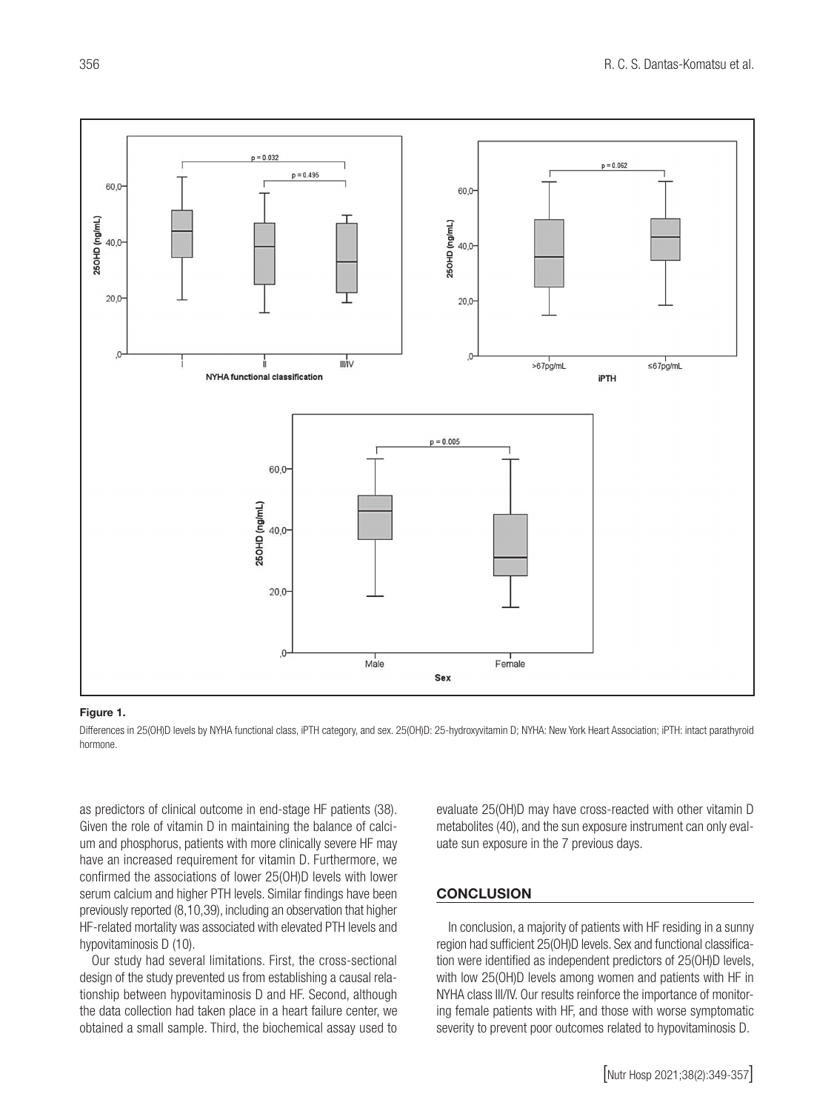

#### Figure 1.

Differences in 25(OH)D levels by NYHA functional class, iPTH category, and sex. 25(OH)D: 25-hydroxyvitamin D; NYHA: New York Heart Association; iPTH: intact parathyroid hormone.

as predictors of clinical outcome in end-stage HF patients (38). Given the role of vitamin D in maintaining the balance of calcium and phosphorus, patients with more clinically severe HF may have an increased requirement for vitamin D. Furthermore, we confirmed the associations of lower 25(OH)D levels with lower serum calcium and higher PTH levels. Similar findings have been previously reported (8,10,39), including an observation that higher HF-related mortality was associated with elevated PTH levels and hypovitaminosis D (10).

Our study had several limitations. First, the cross-sectional design of the study prevented us from establishing a causal relationship between hypovitaminosis D and HF. Second, although the data collection had taken place in a heart failure center, we obtained a small sample. Third, the biochemical assay used to

evaluate 25(OH)D may have cross-reacted with other vitamin D metabolites (40), and the sun exposure instrument can only evaluate sun exposure in the 7 previous days.

#### **CONCLUSION**

In conclusion, a majority of patients with HF residing in a sunny region had sufficient 25(OH)D levels. Sex and functional classification were identified as independent predictors of 25(OH)D levels, with low 25(OH)D levels among women and patients with HF in NYHA class III/IV. Our results reinforce the importance of monitoring female patients with HF, and those with worse symptomatic severity to prevent poor outcomes related to hypovitaminosis D.